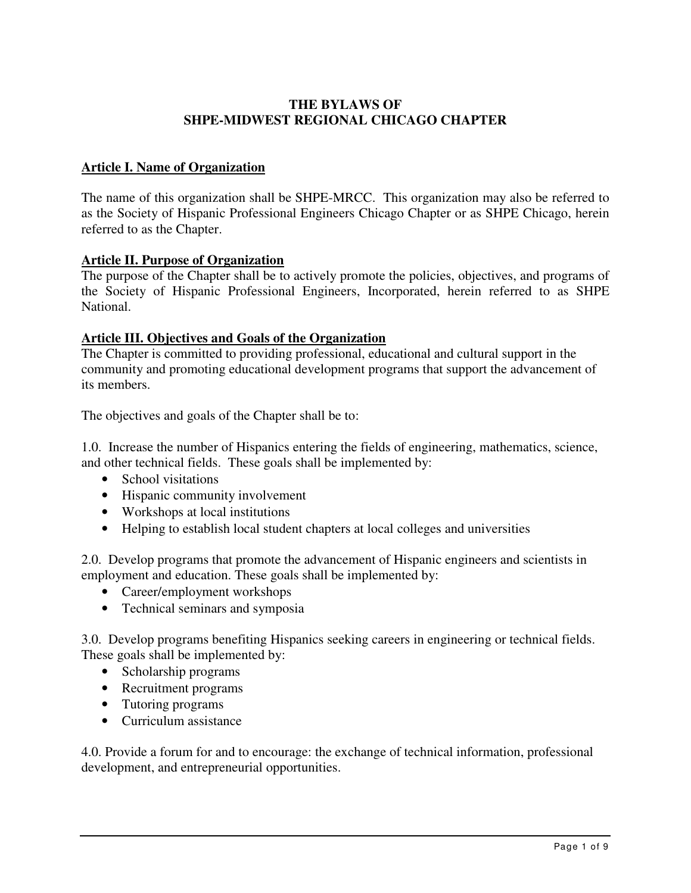# **THE BYLAWS OF SHPE-MIDWEST REGIONAL CHICAGO CHAPTER**

# **Article I. Name of Organization**

The name of this organization shall be SHPE-MRCC. This organization may also be referred to as the Society of Hispanic Professional Engineers Chicago Chapter or as SHPE Chicago, herein referred to as the Chapter.

## **Article II. Purpose of Organization**

The purpose of the Chapter shall be to actively promote the policies, objectives, and programs of the Society of Hispanic Professional Engineers, Incorporated, herein referred to as SHPE National.

## **Article III. Objectives and Goals of the Organization**

The Chapter is committed to providing professional, educational and cultural support in the community and promoting educational development programs that support the advancement of its members.

The objectives and goals of the Chapter shall be to:

1.0. Increase the number of Hispanics entering the fields of engineering, mathematics, science, and other technical fields. These goals shall be implemented by:

- School visitations
- Hispanic community involvement
- Workshops at local institutions
- Helping to establish local student chapters at local colleges and universities

2.0. Develop programs that promote the advancement of Hispanic engineers and scientists in employment and education. These goals shall be implemented by:

- Career/employment workshops
- Technical seminars and symposia

3.0. Develop programs benefiting Hispanics seeking careers in engineering or technical fields. These goals shall be implemented by:

- Scholarship programs
- Recruitment programs
- Tutoring programs
- Curriculum assistance

4.0. Provide a forum for and to encourage: the exchange of technical information, professional development, and entrepreneurial opportunities.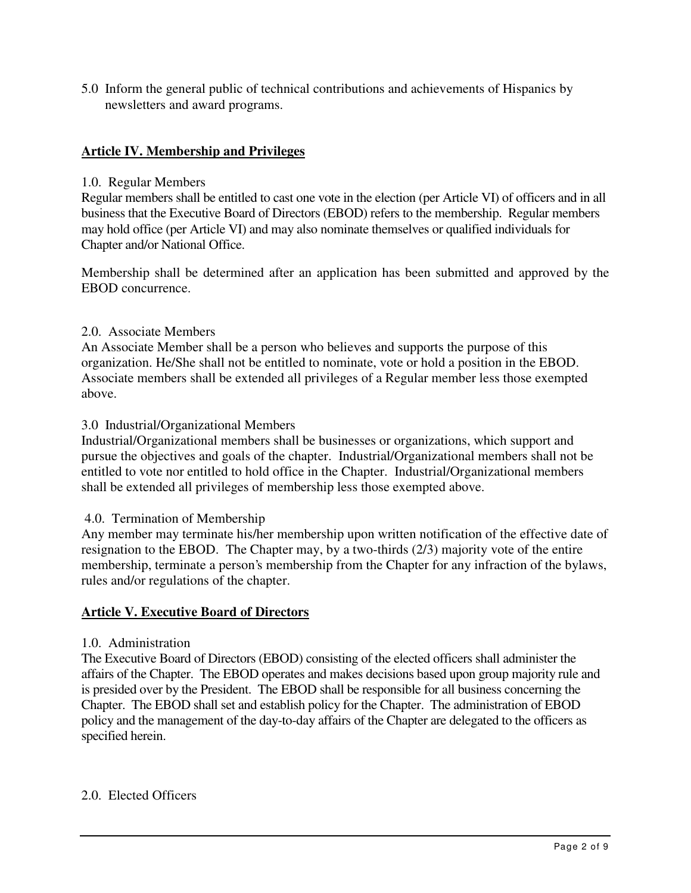5.0 Inform the general public of technical contributions and achievements of Hispanics by newsletters and award programs.

# **Article IV. Membership and Privileges**

#### 1.0. Regular Members

Regular members shall be entitled to cast one vote in the election (per Article VI) of officers and in all business that the Executive Board of Directors (EBOD) refers to the membership. Regular members may hold office (per Article VI) and may also nominate themselves or qualified individuals for Chapter and/or National Office.

Membership shall be determined after an application has been submitted and approved by the EBOD concurrence.

## 2.0. Associate Members

An Associate Member shall be a person who believes and supports the purpose of this organization. He/She shall not be entitled to nominate, vote or hold a position in the EBOD. Associate members shall be extended all privileges of a Regular member less those exempted above.

## 3.0 Industrial/Organizational Members

Industrial/Organizational members shall be businesses or organizations, which support and pursue the objectives and goals of the chapter. Industrial/Organizational members shall not be entitled to vote nor entitled to hold office in the Chapter. Industrial/Organizational members shall be extended all privileges of membership less those exempted above.

#### 4.0. Termination of Membership

Any member may terminate his/her membership upon written notification of the effective date of resignation to the EBOD. The Chapter may, by a two-thirds (2/3) majority vote of the entire membership, terminate a person's membership from the Chapter for any infraction of the bylaws, rules and/or regulations of the chapter.

#### **Article V. Executive Board of Directors**

#### 1.0. Administration

The Executive Board of Directors (EBOD) consisting of the elected officers shall administer the affairs of the Chapter. The EBOD operates and makes decisions based upon group majority rule and is presided over by the President. The EBOD shall be responsible for all business concerning the Chapter. The EBOD shall set and establish policy for the Chapter. The administration of EBOD policy and the management of the day-to-day affairs of the Chapter are delegated to the officers as specified herein.

#### 2.0. Elected Officers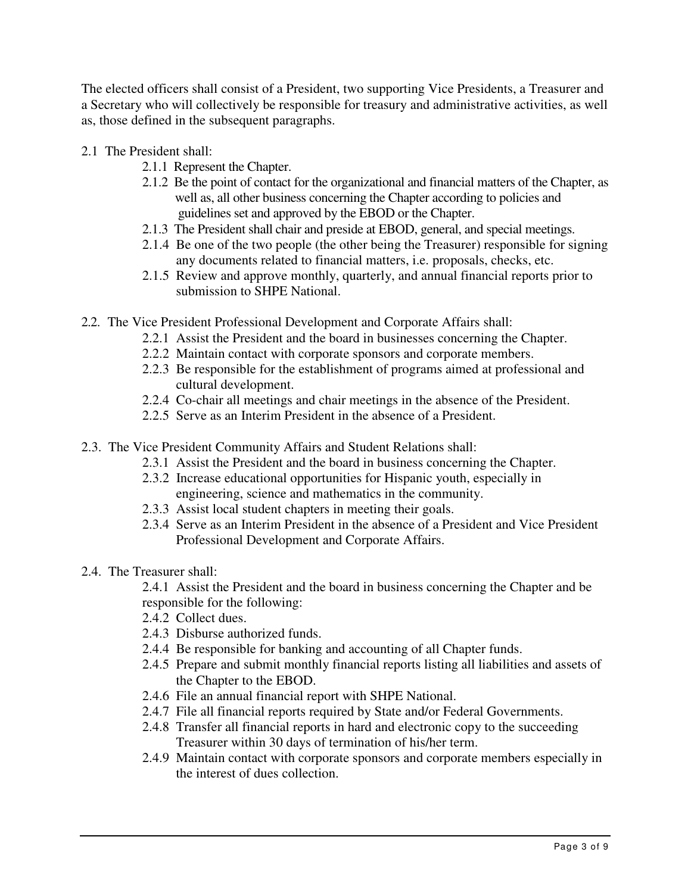The elected officers shall consist of a President, two supporting Vice Presidents, a Treasurer and a Secretary who will collectively be responsible for treasury and administrative activities, as well as, those defined in the subsequent paragraphs.

- 2.1 The President shall:
	- 2.1.1 Represent the Chapter.
	- 2.1.2 Be the point of contact for the organizational and financial matters of the Chapter, as well as, all other business concerning the Chapter according to policies and guidelines set and approved by the EBOD or the Chapter.
	- 2.1.3 The President shall chair and preside at EBOD, general, and special meetings.
	- 2.1.4 Be one of the two people (the other being the Treasurer) responsible for signing any documents related to financial matters, i.e. proposals, checks, etc.
	- 2.1.5 Review and approve monthly, quarterly, and annual financial reports prior to submission to SHPE National.
- 2.2. The Vice President Professional Development and Corporate Affairs shall:
	- 2.2.1 Assist the President and the board in businesses concerning the Chapter.
	- 2.2.2 Maintain contact with corporate sponsors and corporate members.
	- 2.2.3 Be responsible for the establishment of programs aimed at professional and cultural development.
	- 2.2.4 Co-chair all meetings and chair meetings in the absence of the President.
	- 2.2.5 Serve as an Interim President in the absence of a President.
- 2.3. The Vice President Community Affairs and Student Relations shall:
	- 2.3.1 Assist the President and the board in business concerning the Chapter.
	- 2.3.2 Increase educational opportunities for Hispanic youth, especially in engineering, science and mathematics in the community.
	- 2.3.3 Assist local student chapters in meeting their goals.
	- 2.3.4 Serve as an Interim President in the absence of a President and Vice President Professional Development and Corporate Affairs.
- 2.4. The Treasurer shall:

2.4.1 Assist the President and the board in business concerning the Chapter and be responsible for the following:

- 2.4.2 Collect dues.
- 2.4.3 Disburse authorized funds.
- 2.4.4 Be responsible for banking and accounting of all Chapter funds.
- 2.4.5 Prepare and submit monthly financial reports listing all liabilities and assets of the Chapter to the EBOD.
- 2.4.6 File an annual financial report with SHPE National.
- 2.4.7 File all financial reports required by State and/or Federal Governments.
- 2.4.8 Transfer all financial reports in hard and electronic copy to the succeeding Treasurer within 30 days of termination of his/her term.
- 2.4.9 Maintain contact with corporate sponsors and corporate members especially in the interest of dues collection.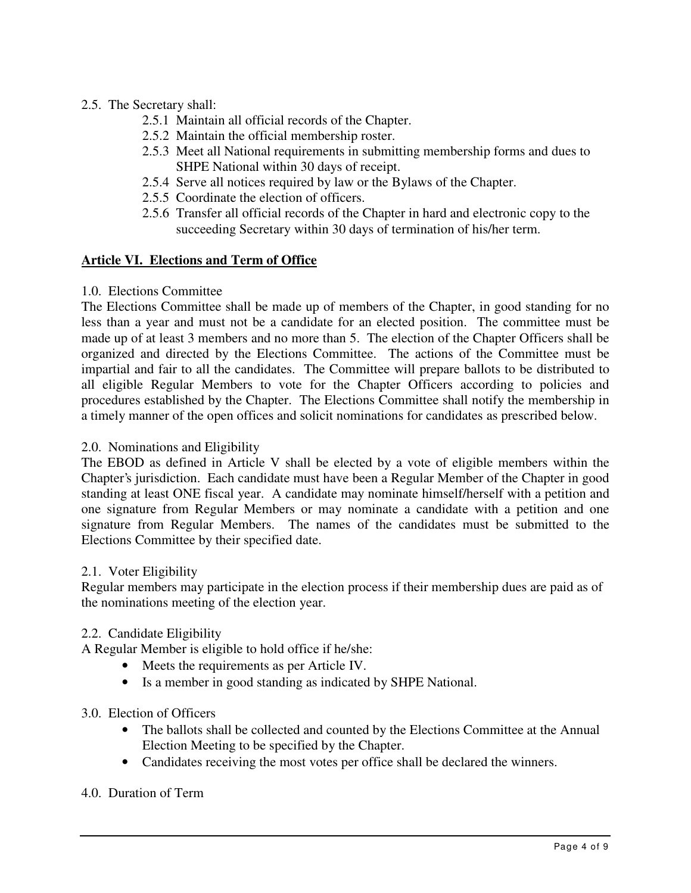# 2.5. The Secretary shall:

- 2.5.1 Maintain all official records of the Chapter.
- 2.5.2 Maintain the official membership roster.
- 2.5.3 Meet all National requirements in submitting membership forms and dues to SHPE National within 30 days of receipt.
- 2.5.4 Serve all notices required by law or the Bylaws of the Chapter.
- 2.5.5 Coordinate the election of officers.
- 2.5.6 Transfer all official records of the Chapter in hard and electronic copy to the succeeding Secretary within 30 days of termination of his/her term.

# **Article VI. Elections and Term of Office**

## 1.0. Elections Committee

The Elections Committee shall be made up of members of the Chapter, in good standing for no less than a year and must not be a candidate for an elected position. The committee must be made up of at least 3 members and no more than 5. The election of the Chapter Officers shall be organized and directed by the Elections Committee. The actions of the Committee must be impartial and fair to all the candidates. The Committee will prepare ballots to be distributed to all eligible Regular Members to vote for the Chapter Officers according to policies and procedures established by the Chapter. The Elections Committee shall notify the membership in a timely manner of the open offices and solicit nominations for candidates as prescribed below.

#### 2.0. Nominations and Eligibility

The EBOD as defined in Article V shall be elected by a vote of eligible members within the Chapter's jurisdiction. Each candidate must have been a Regular Member of the Chapter in good standing at least ONE fiscal year. A candidate may nominate himself/herself with a petition and one signature from Regular Members or may nominate a candidate with a petition and one signature from Regular Members. The names of the candidates must be submitted to the Elections Committee by their specified date.

#### 2.1. Voter Eligibility

Regular members may participate in the election process if their membership dues are paid as of the nominations meeting of the election year.

# 2.2. Candidate Eligibility

A Regular Member is eligible to hold office if he/she:

- Meets the requirements as per Article IV.
- Is a member in good standing as indicated by SHPE National.

# 3.0. Election of Officers

- The ballots shall be collected and counted by the Elections Committee at the Annual Election Meeting to be specified by the Chapter.
- Candidates receiving the most votes per office shall be declared the winners.

# 4.0. Duration of Term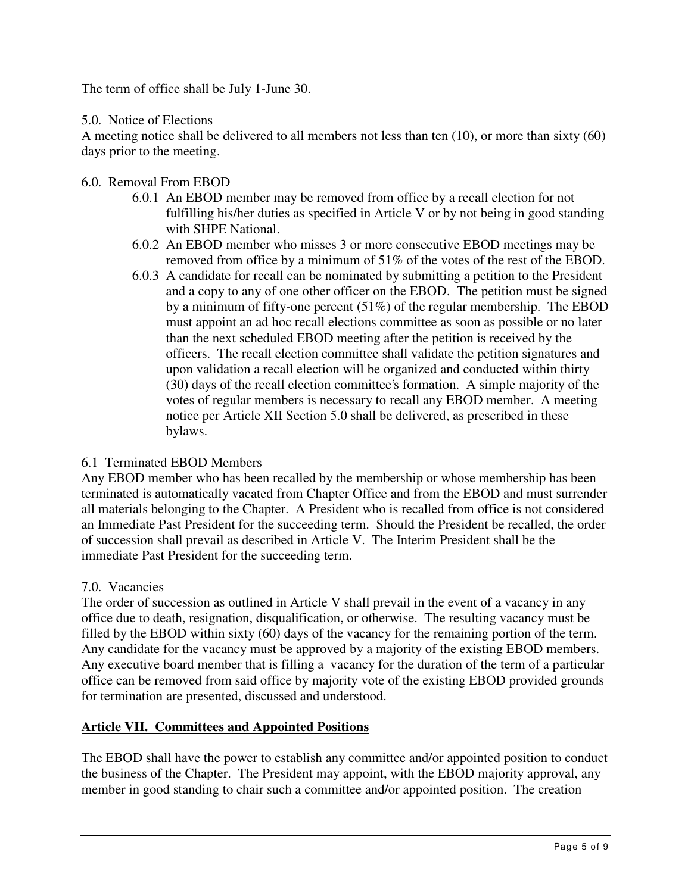The term of office shall be July 1-June 30.

## 5.0. Notice of Elections

A meeting notice shall be delivered to all members not less than ten (10), or more than sixty (60) days prior to the meeting.

- 6.0. Removal From EBOD
	- 6.0.1 An EBOD member may be removed from office by a recall election for not fulfilling his/her duties as specified in Article V or by not being in good standing with SHPE National.
	- 6.0.2 An EBOD member who misses 3 or more consecutive EBOD meetings may be removed from office by a minimum of 51% of the votes of the rest of the EBOD.
	- 6.0.3 A candidate for recall can be nominated by submitting a petition to the President and a copy to any of one other officer on the EBOD. The petition must be signed by a minimum of fifty-one percent (51%) of the regular membership. The EBOD must appoint an ad hoc recall elections committee as soon as possible or no later than the next scheduled EBOD meeting after the petition is received by the officers. The recall election committee shall validate the petition signatures and upon validation a recall election will be organized and conducted within thirty (30) days of the recall election committee's formation. A simple majority of the votes of regular members is necessary to recall any EBOD member. A meeting notice per Article XII Section 5.0 shall be delivered, as prescribed in these bylaws.

# 6.1 Terminated EBOD Members

Any EBOD member who has been recalled by the membership or whose membership has been terminated is automatically vacated from Chapter Office and from the EBOD and must surrender all materials belonging to the Chapter. A President who is recalled from office is not considered an Immediate Past President for the succeeding term. Should the President be recalled, the order of succession shall prevail as described in Article V. The Interim President shall be the immediate Past President for the succeeding term.

# 7.0. Vacancies

The order of succession as outlined in Article V shall prevail in the event of a vacancy in any office due to death, resignation, disqualification, or otherwise. The resulting vacancy must be filled by the EBOD within sixty (60) days of the vacancy for the remaining portion of the term. Any candidate for the vacancy must be approved by a majority of the existing EBOD members. Any executive board member that is filling a vacancy for the duration of the term of a particular office can be removed from said office by majority vote of the existing EBOD provided grounds for termination are presented, discussed and understood.

# **Article VII. Committees and Appointed Positions**

The EBOD shall have the power to establish any committee and/or appointed position to conduct the business of the Chapter. The President may appoint, with the EBOD majority approval, any member in good standing to chair such a committee and/or appointed position. The creation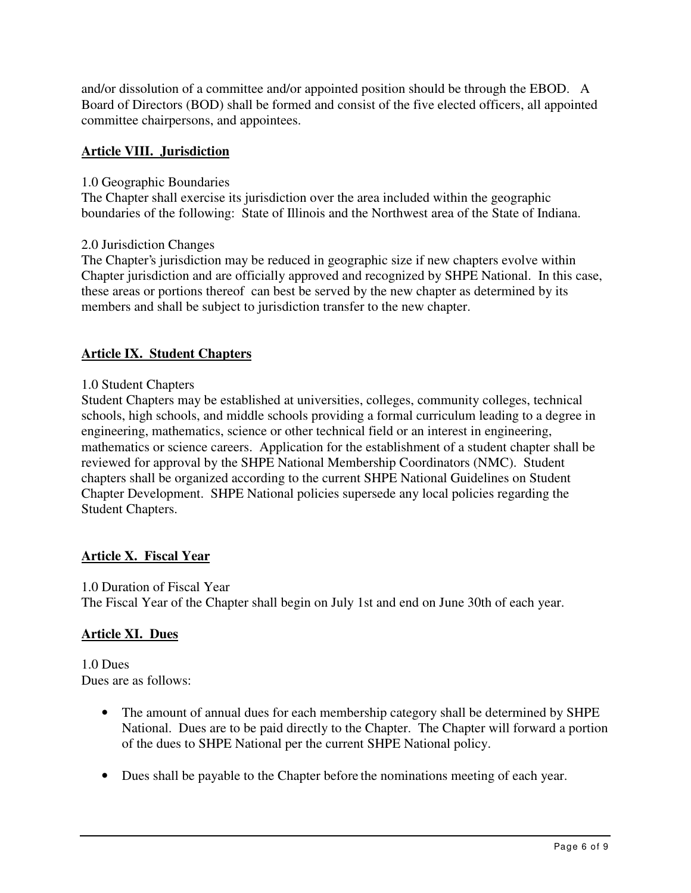and/or dissolution of a committee and/or appointed position should be through the EBOD. A Board of Directors (BOD) shall be formed and consist of the five elected officers, all appointed committee chairpersons, and appointees.

# **Article VIII. Jurisdiction**

## 1.0 Geographic Boundaries

The Chapter shall exercise its jurisdiction over the area included within the geographic boundaries of the following: State of Illinois and the Northwest area of the State of Indiana.

## 2.0 Jurisdiction Changes

The Chapter's jurisdiction may be reduced in geographic size if new chapters evolve within Chapter jurisdiction and are officially approved and recognized by SHPE National. In this case, these areas or portions thereof can best be served by the new chapter as determined by its members and shall be subject to jurisdiction transfer to the new chapter.

# **Article IX. Student Chapters**

## 1.0 Student Chapters

Student Chapters may be established at universities, colleges, community colleges, technical schools, high schools, and middle schools providing a formal curriculum leading to a degree in engineering, mathematics, science or other technical field or an interest in engineering, mathematics or science careers. Application for the establishment of a student chapter shall be reviewed for approval by the SHPE National Membership Coordinators (NMC). Student chapters shall be organized according to the current SHPE National Guidelines on Student Chapter Development. SHPE National policies supersede any local policies regarding the Student Chapters.

# **Article X. Fiscal Year**

#### 1.0 Duration of Fiscal Year

The Fiscal Year of the Chapter shall begin on July 1st and end on June 30th of each year.

# **Article XI. Dues**

1.0 Dues Dues are as follows:

- The amount of annual dues for each membership category shall be determined by SHPE National. Dues are to be paid directly to the Chapter. The Chapter will forward a portion of the dues to SHPE National per the current SHPE National policy.
- Dues shall be payable to the Chapter before the nominations meeting of each year.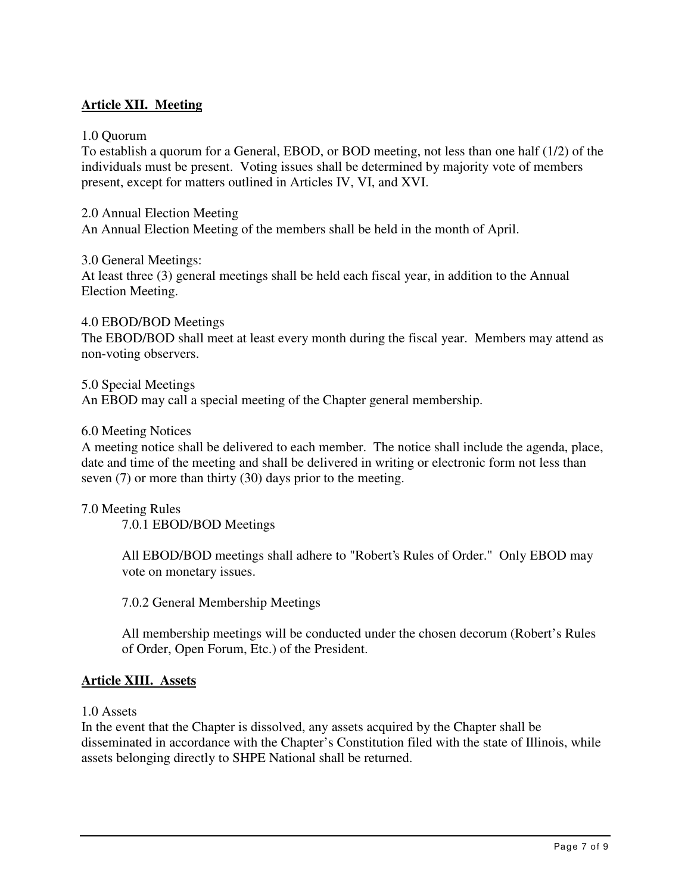# **Article XII. Meeting**

1.0 Quorum

To establish a quorum for a General, EBOD, or BOD meeting, not less than one half (1/2) of the individuals must be present. Voting issues shall be determined by majority vote of members present, except for matters outlined in Articles IV, VI, and XVI.

2.0 Annual Election Meeting An Annual Election Meeting of the members shall be held in the month of April.

3.0 General Meetings:

At least three (3) general meetings shall be held each fiscal year, in addition to the Annual Election Meeting.

4.0 EBOD/BOD Meetings The EBOD/BOD shall meet at least every month during the fiscal year. Members may attend as non-voting observers.

5.0 Special Meetings

An EBOD may call a special meeting of the Chapter general membership.

#### 6.0 Meeting Notices

A meeting notice shall be delivered to each member. The notice shall include the agenda, place, date and time of the meeting and shall be delivered in writing or electronic form not less than seven (7) or more than thirty (30) days prior to the meeting.

#### 7.0 Meeting Rules

7.0.1 EBOD/BOD Meetings

All EBOD/BOD meetings shall adhere to "Robert's Rules of Order." Only EBOD may vote on monetary issues.

7.0.2 General Membership Meetings

All membership meetings will be conducted under the chosen decorum (Robert's Rules of Order, Open Forum, Etc.) of the President.

#### **Article XIII. Assets**

1.0 Assets

In the event that the Chapter is dissolved, any assets acquired by the Chapter shall be disseminated in accordance with the Chapter's Constitution filed with the state of Illinois, while assets belonging directly to SHPE National shall be returned.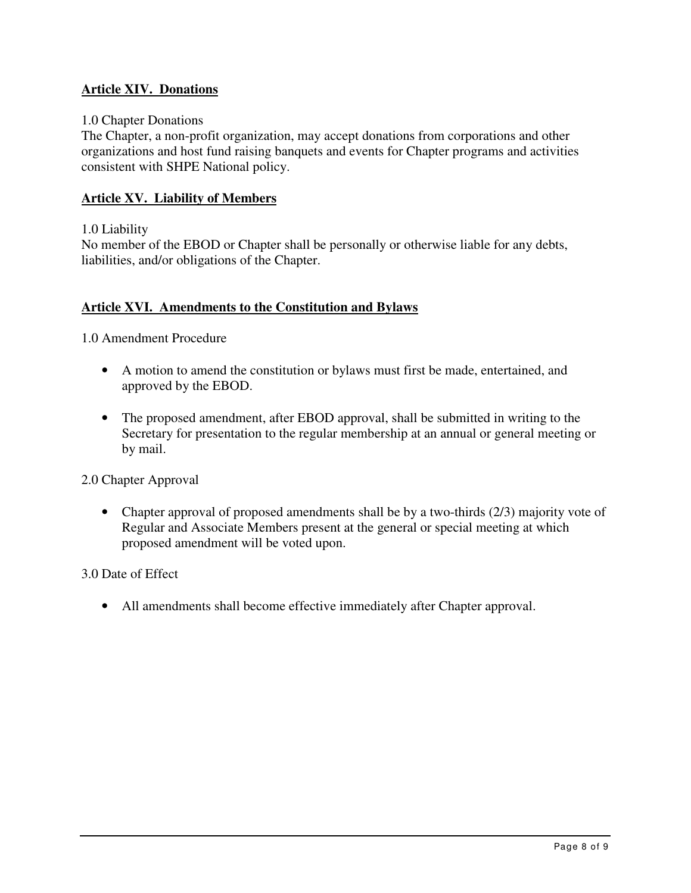# **Article XIV. Donations**

## 1.0 Chapter Donations

The Chapter, a non-profit organization, may accept donations from corporations and other organizations and host fund raising banquets and events for Chapter programs and activities consistent with SHPE National policy.

## **Article XV. Liability of Members**

#### 1.0 Liability

No member of the EBOD or Chapter shall be personally or otherwise liable for any debts, liabilities, and/or obligations of the Chapter.

## **Article XVI. Amendments to the Constitution and Bylaws**

1.0 Amendment Procedure

- A motion to amend the constitution or bylaws must first be made, entertained, and approved by the EBOD.
- The proposed amendment, after EBOD approval, shall be submitted in writing to the Secretary for presentation to the regular membership at an annual or general meeting or by mail.

2.0 Chapter Approval

• Chapter approval of proposed amendments shall be by a two-thirds (2/3) majority vote of Regular and Associate Members present at the general or special meeting at which proposed amendment will be voted upon.

3.0 Date of Effect

• All amendments shall become effective immediately after Chapter approval.